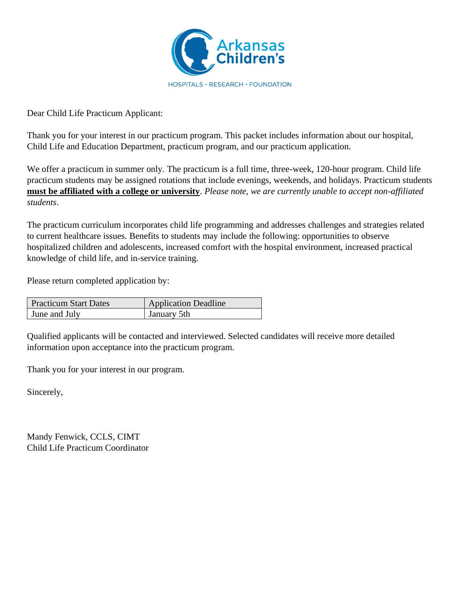

Dear Child Life Practicum Applicant:

Thank you for your interest in our practicum program. This packet includes information about our hospital, Child Life and Education Department, practicum program, and our practicum application.

We offer a practicum in summer only. The practicum is a full time, three-week, 120-hour program. Child life practicum students may be assigned rotations that include evenings, weekends, and holidays. Practicum students **must be affiliated with a college or university**. *Please note, we are currently unable to accept non-affiliated students*.

The practicum curriculum incorporates child life programming and addresses challenges and strategies related to current healthcare issues. Benefits to students may include the following: opportunities to observe hospitalized children and adolescents, increased comfort with the hospital environment, increased practical knowledge of child life, and in-service training.

Please return completed application by:

| <b>Practicum Start Dates</b> | <b>Application Deadline</b> |
|------------------------------|-----------------------------|
| <b>June and July</b>         | January 5th                 |

Qualified applicants will be contacted and interviewed. Selected candidates will receive more detailed information upon acceptance into the practicum program.

Thank you for your interest in our program.

Sincerely,

Mandy Fenwick, CCLS, CIMT Child Life Practicum Coordinator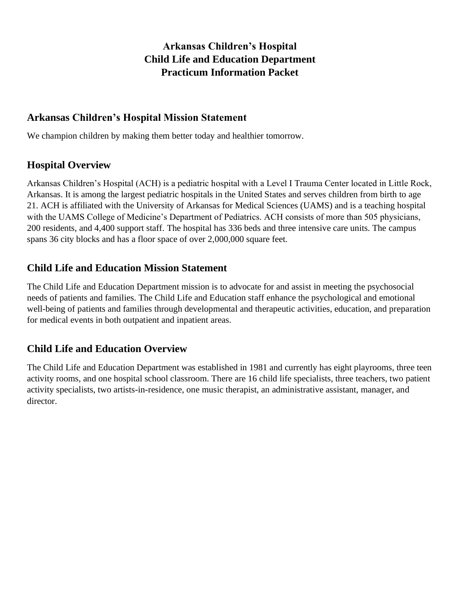# **Arkansas Children's Hospital Child Life and Education Department Practicum Information Packet**

## **Arkansas Children's Hospital Mission Statement**

We champion children by making them better today and healthier tomorrow.

## **Hospital Overview**

Arkansas Children's Hospital (ACH) is a pediatric hospital with a Level I Trauma Center located in Little Rock, Arkansas. It is among the largest pediatric hospitals in the United States and serves children from birth to age 21. ACH is affiliated with the University of Arkansas for Medical Sciences (UAMS) and is a teaching hospital with the UAMS College of Medicine's Department of Pediatrics. ACH consists of more than 505 physicians, 200 residents, and 4,400 support staff. The hospital has 336 beds and three intensive care units. The campus spans 36 city blocks and has a floor space of over 2,000,000 square feet.

## **Child Life and Education Mission Statement**

The Child Life and Education Department mission is to advocate for and assist in meeting the psychosocial needs of patients and families. The Child Life and Education staff enhance the psychological and emotional well-being of patients and families through developmental and therapeutic activities, education, and preparation for medical events in both outpatient and inpatient areas.

# **Child Life and Education Overview**

The Child Life and Education Department was established in 1981 and currently has eight playrooms, three teen activity rooms, and one hospital school classroom. There are 16 child life specialists, three teachers, two patient activity specialists, two artists-in-residence, one music therapist, an administrative assistant, manager, and director.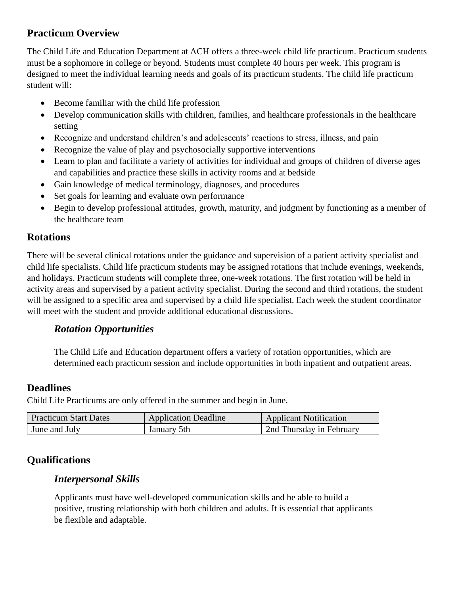# **Practicum Overview**

The Child Life and Education Department at ACH offers a three-week child life practicum. Practicum students must be a sophomore in college or beyond. Students must complete 40 hours per week. This program is designed to meet the individual learning needs and goals of its practicum students. The child life practicum student will:

- Become familiar with the child life profession
- Develop communication skills with children, families, and healthcare professionals in the healthcare setting
- Recognize and understand children's and adolescents' reactions to stress, illness, and pain
- Recognize the value of play and psychosocially supportive interventions
- Learn to plan and facilitate a variety of activities for individual and groups of children of diverse ages and capabilities and practice these skills in activity rooms and at bedside
- Gain knowledge of medical terminology, diagnoses, and procedures
- Set goals for learning and evaluate own performance
- Begin to develop professional attitudes, growth, maturity, and judgment by functioning as a member of the healthcare team

## **Rotations**

There will be several clinical rotations under the guidance and supervision of a patient activity specialist and child life specialists. Child life practicum students may be assigned rotations that include evenings, weekends, and holidays. Practicum students will complete three, one-week rotations. The first rotation will be held in activity areas and supervised by a patient activity specialist. During the second and third rotations, the student will be assigned to a specific area and supervised by a child life specialist. Each week the student coordinator will meet with the student and provide additional educational discussions.

# *Rotation Opportunities*

The Child Life and Education department offers a variety of rotation opportunities, which are determined each practicum session and include opportunities in both inpatient and outpatient areas.

# **Deadlines**

Child Life Practicums are only offered in the summer and begin in June.

| <b>Practicum Start Dates</b> | <b>Application Deadline</b> | <b>Applicant Notification</b> |
|------------------------------|-----------------------------|-------------------------------|
| June and July                | January 5th                 | 2nd Thursday in February      |

# **Qualifications**

# *Interpersonal Skills*

Applicants must have well-developed communication skills and be able to build a positive, trusting relationship with both children and adults. It is essential that applicants be flexible and adaptable.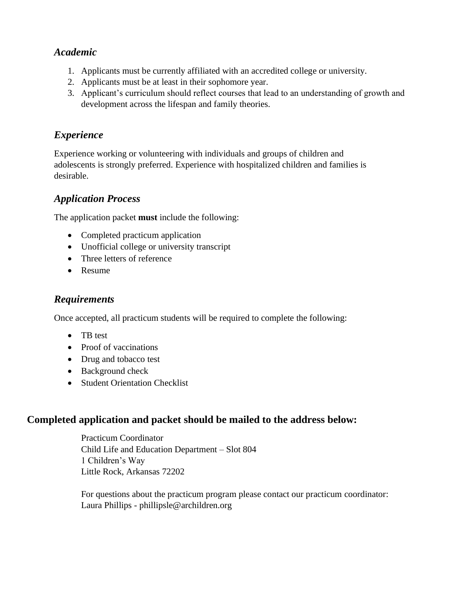## *Academic*

- 1. Applicants must be currently affiliated with an accredited college or university.
- 2. Applicants must be at least in their sophomore year.
- 3. Applicant's curriculum should reflect courses that lead to an understanding of growth and development across the lifespan and family theories.

## *Experience*

Experience working or volunteering with individuals and groups of children and adolescents is strongly preferred. Experience with hospitalized children and families is desirable.

#### *Application Process*

The application packet **must** include the following:

- Completed practicum application
- Unofficial college or university transcript
- Three letters of reference
- Resume

#### *Requirements*

Once accepted, all practicum students will be required to complete the following:

- TB test
- Proof of vaccinations
- Drug and tobacco test
- Background check
- Student Orientation Checklist

## **Completed application and packet should be mailed to the address below:**

Practicum Coordinator Child Life and Education Department – Slot 804 1 Children's Way Little Rock, Arkansas 72202

For questions about the practicum program please contact our practicum coordinator: Laura Phillips - phillipsle@archildren.org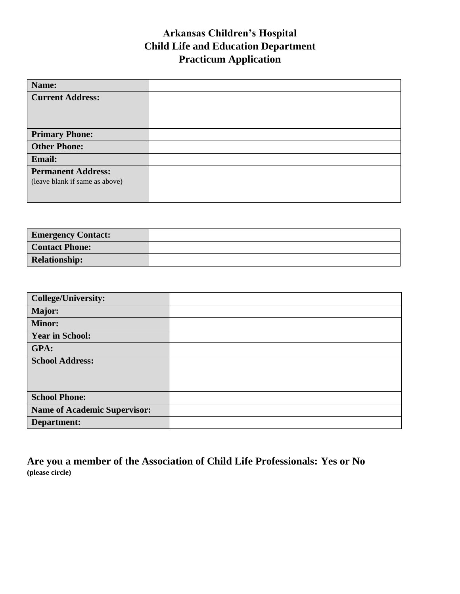# **Arkansas Children's Hospital Child Life and Education Department Practicum Application**

| Name:                          |  |
|--------------------------------|--|
| <b>Current Address:</b>        |  |
|                                |  |
|                                |  |
| <b>Primary Phone:</b>          |  |
| <b>Other Phone:</b>            |  |
| <b>Email:</b>                  |  |
| <b>Permanent Address:</b>      |  |
| (leave blank if same as above) |  |
|                                |  |

| <b>Emergency Contact:</b> |  |
|---------------------------|--|
| <b>Contact Phone:</b>     |  |
| <b>Relationship:</b>      |  |

| <b>College/University:</b>          |  |
|-------------------------------------|--|
| Major:                              |  |
| <b>Minor:</b>                       |  |
| <b>Year in School:</b>              |  |
| GPA:                                |  |
| <b>School Address:</b>              |  |
|                                     |  |
|                                     |  |
| <b>School Phone:</b>                |  |
| <b>Name of Academic Supervisor:</b> |  |
| Department:                         |  |

**Are you a member of the Association of Child Life Professionals: Yes or No (please circle)**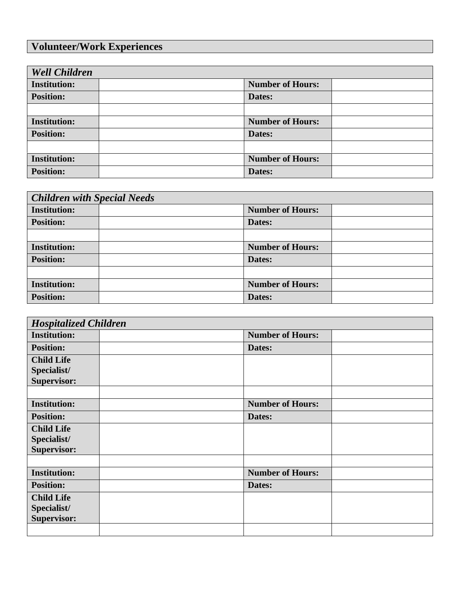# **Volunteer/Work Experiences**

| <b>Well Children</b> |                         |  |
|----------------------|-------------------------|--|
| <b>Institution:</b>  | <b>Number of Hours:</b> |  |
| <b>Position:</b>     | Dates:                  |  |
|                      |                         |  |
| <b>Institution:</b>  | <b>Number of Hours:</b> |  |
| <b>Position:</b>     | Dates:                  |  |
|                      |                         |  |
| <b>Institution:</b>  | <b>Number of Hours:</b> |  |
| <b>Position:</b>     | Dates:                  |  |

| <b>Children with Special Needs</b> |                         |  |
|------------------------------------|-------------------------|--|
| <b>Institution:</b>                | <b>Number of Hours:</b> |  |
| <b>Position:</b>                   | Dates:                  |  |
|                                    |                         |  |
| <b>Institution:</b>                | <b>Number of Hours:</b> |  |
| <b>Position:</b>                   | Dates:                  |  |
|                                    |                         |  |
| <b>Institution:</b>                | <b>Number of Hours:</b> |  |
| <b>Position:</b>                   | Dates:                  |  |

| <b>Hospitalized Children</b> |  |                         |  |
|------------------------------|--|-------------------------|--|
| <b>Institution:</b>          |  | <b>Number of Hours:</b> |  |
| <b>Position:</b>             |  | Dates:                  |  |
| <b>Child Life</b>            |  |                         |  |
| Specialist/                  |  |                         |  |
| Supervisor:                  |  |                         |  |
|                              |  |                         |  |
| <b>Institution:</b>          |  | <b>Number of Hours:</b> |  |
| <b>Position:</b>             |  | Dates:                  |  |
| <b>Child Life</b>            |  |                         |  |
| Specialist/                  |  |                         |  |
| <b>Supervisor:</b>           |  |                         |  |
|                              |  |                         |  |
| <b>Institution:</b>          |  | <b>Number of Hours:</b> |  |
| <b>Position:</b>             |  | Dates:                  |  |
| <b>Child Life</b>            |  |                         |  |
| Specialist/                  |  |                         |  |
| <b>Supervisor:</b>           |  |                         |  |
|                              |  |                         |  |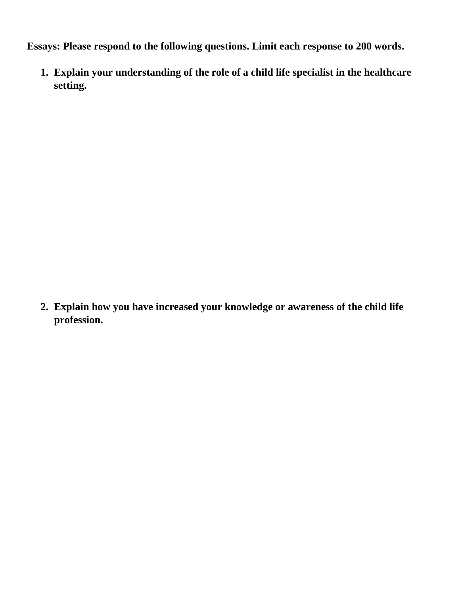**Essays: Please respond to the following questions. Limit each response to 200 words.**

**1. Explain your understanding of the role of a child life specialist in the healthcare setting.**

**2. Explain how you have increased your knowledge or awareness of the child life profession.**